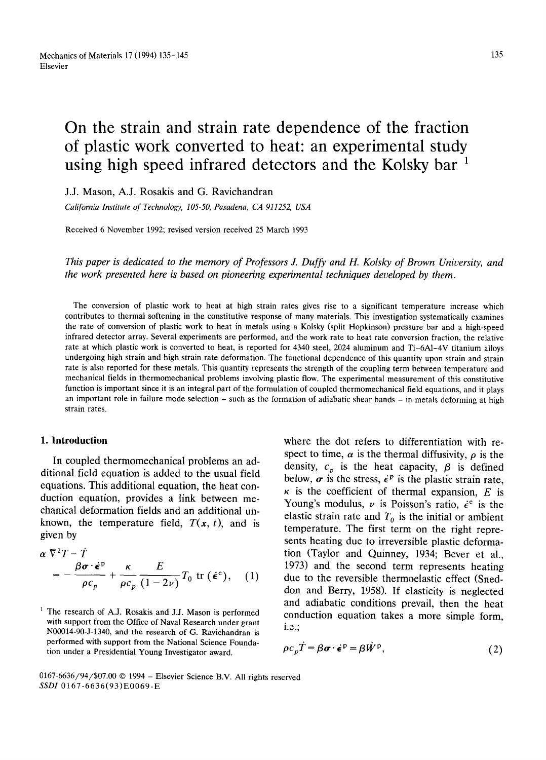# **On the strain and strain rate dependence of the fraction of plastic work converted to heat: an experimental study using high speed infrared detectors and the Kolsky bar 1**

J.J. Mason, A.J. Rosakis and G. Ravichandran

*California Institute of Technology, 105-50, Pasadena, CA 911252, USA* 

Received 6 November 1992; revised version received 25 March 1993

*This paper is dedicated to the memory of Professors J. Duffy and H. Kolsky of Brown University, and the work presented here is based on pioneering experimental techniques developed by them.* 

The conversion of plastic work to heat at high strain rates gives rise to a significant temperature increase which contributes to thermal softening in the constitutive response of many materials. This investigation systematically examines the rate of conversion of plastic work to heat in metals using a Kolsky (split Hopkinson) pressure bar and a high-speed infrared detector array. Several experiments are performed, and the work rate to heat rate conversion fraction, the relative rate at which plastic work is converted to heat, is reported for 4340 steel, 2024 aluminum and Ti-6A1-4V titanium alloys undergoing high strain and high strain rate deformation. The functional dependence of this quantity upon strain and strain rate is also reported for these metals. This quantity represents the strength of the coupling term between temperature and mechanical fields in thermomechanical problems involving plastic flow. The experimental measurement of this constitutive function is important since **it** is an integral part of the formulation of coupled thermomechanical field equations, and it plays an important role in failure mode selection - such as the formation of adiabatic shear bands - in metals deforming at high strain rates.

# **1. Introduction**

In coupled thermomechanical problems an additional field equation is added to the usual field equations. This additional equation, the heat conduction equation, provides a link between mechanical deformation fields and an additional unknown, the temperature field,  $T(x, t)$ , and is given by

$$
\alpha \nabla^2 T - T
$$
  
=  $-\frac{\beta \sigma \cdot \dot{\epsilon}^p}{\rho c_p} + \frac{\kappa}{\rho c_p} \frac{E}{(1 - 2\nu)} T_0 \text{ tr } (\dot{\epsilon}^e),$  (1)

where the dot refers to differentiation with respect to time,  $\alpha$  is the thermal diffusivity,  $\rho$  is the density,  $c_p$  is the heat capacity,  $\beta$  is defined below,  $\sigma$  is the stress,  $\dot{\epsilon}^p$  is the plastic strain rate,  $\kappa$  is the coefficient of thermal expansion. E is Young's modulus,  $\nu$  is Poisson's ratio,  $\dot{\epsilon}^e$  is the elastic strain rate and  $T_0$  is the initial or ambient temperature. The first term on the right represents heating due to irreversible plastic deformation (Taylor and Quinney, 1934; Bever et al., 1973) and the second term represents heating due to the reversible thermoelastic effect (Sneddon and Berry, 1958). If elasticity is neglected and adiabatic conditions prevail, then the heat conduction equation takes a more simple form, i.e.;

$$
\rho c_p T = \beta \sigma \cdot \dot{\epsilon}^p = \beta \dot{W}^p, \qquad (2)
$$

0167-6636/94/\$07.00 © 1994 - Elsevier Science B.V. All rights reserved *SSDI* 0167-6636(93)E0069-E

 $1$  The research of A.J. Rosakis and J.J. Mason is performed with support from the Office of Naval Research under grant N00014-90-J-1340, and the research of G. Raviehandran is performed with support from the National Science Foundation under a Presidential Young Investigator award.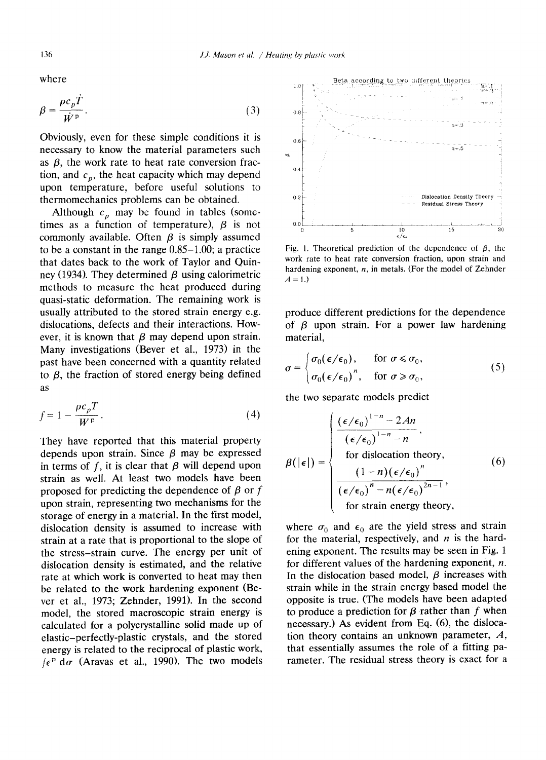where

$$
\beta = \frac{\rho c_p \hat{T}}{\dot{W}^{\text{p}}}.
$$
\n(3)

Obviously, even for these simple conditions it is necessary to know the material parameters such as  $\beta$ , the work rate to heat rate conversion fraction, and  $c_p$ , the heat capacity which may depend upon temperature, before useful solutions to thermomechanics problems can be obtained.

Although  $c_p$  may be found in tables (sometimes as a function of temperature),  $\beta$  is not commonly available. Often  $\beta$  is simply assumed to be a constant in the range 0.85-1.00; a practice that dates back to the work of Taylor and Quinney (1934). They determined  $\beta$  using calorimetric methods to measure the heat produced during quasi-static deformation. The remaining work is usually attributed to the stored strain energy e.g. dislocations, defects and their interactions. However, it is known that  $\beta$  may depend upon strain. Many investigations (Bever et al., 1973) in the past have been concerned with a quantity related to  $\beta$ , the fraction of stored energy being defined as

$$
f = 1 - \frac{\rho c_p T}{W^p}.
$$
\n<sup>(4)</sup>

They have reported that this material property depends upon strain. Since  $\beta$  may be expressed in terms of  $f$ , it is clear that  $\beta$  will depend upon strain as well. At least two models have been proposed for predicting the dependence of  $\beta$  or f upon strain, representing two mechanisms for the storage of energy in a material. In the first model, dislocation density is assumed to increase with strain at a rate that is proportional to the slope of the stress-strain curve. The energy per unit of dislocation density is estimated, and the relative rate at which work is converted to heat may then be related to the work hardening exponent (Bever et al., 1973; Zehnder, 1991). In the second model, the stored macroscopic strain energy is calculated for a polycrystalline solid made up of elastic-perfectly-plastic crystals, and the stored energy is related to the reciprocal of plastic work,  $\int e^p d\sigma$  (Aravas et al., 1990). The two models

 $0.8$  $0.6$ n-.5  $\begin{bmatrix} 0.4 \end{bmatrix}$ 0.2 Dislocation Density Theory Residual Stress Theory  $0.0$  $\frac{10}{\epsilon/\epsilon_c}$ 0 5 10 15 20

Beta according to two different theories

Fig. 1. Theoretical prediction of the dependence of  $\beta$ , the work rate to heat rate conversion fraction, upon strain and hardening exponent,  $n$ , in metals. (For the model of Zehnder  $A=1.$ 

produce different predictions for the dependence of  $\beta$  upon strain. For a power law hardening material,

$$
\sigma = \begin{cases} \sigma_0(\epsilon/\epsilon_0), & \text{for } \sigma \le \sigma_0, \\ \sigma_0(\epsilon/\epsilon_0)^n, & \text{for } \sigma \ge \sigma_0, \end{cases} \tag{5}
$$

the two separate models predict

$$
\beta(|\epsilon|) = \begin{cases}\n\frac{(\epsilon/\epsilon_0)^{1-n} - 2An}{(\epsilon/\epsilon_0)^{1-n} - n},\\
\text{for dislocation theory,} \\
\frac{(1-n)(\epsilon/\epsilon_0)^n}{(\epsilon/\epsilon_0)^n - n(\epsilon/\epsilon_0)^{2n-1}},\\
\text{for strain energy theory,}\n\end{cases}
$$
\n(6)

where  $\sigma_0$  and  $\epsilon_0$  are the yield stress and strain for the material, respectively, and  $n$  is the hardening exponent. The results may be seen in Fig. 1 for different values of the hardening exponent,  $n$ . In the dislocation based model,  $\beta$  increases with strain while in the strain energy based model the opposite is true. (The models have been adapted to produce a prediction for  $\beta$  rather than f when necessary.) As evident from Eq, (6), the dislocation theory contains an unknown parameter, A, that essentially assumes the role of a fitting parameter. The residual stress theory is exact for a

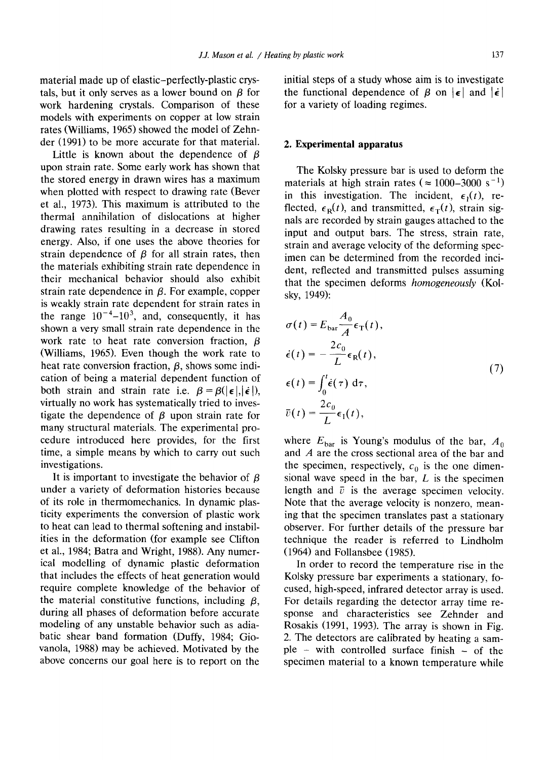material made up of elastic-perfectly-plastic crystals, but it only serves as a lower bound on  $\beta$  for work hardening crystals. Comparison of these models with experiments on copper at low strain rates (Williams, 1965) showed the model of Zehnder (1991) to be more accurate for that material.

Little is known about the dependence of  $\beta$ upon strain rate. Some early work has shown that the stored energy in drawn wires has a maximum when plotted with respect to drawing rate (Bever et al., 1973). This maximum is attributed to the thermal annihilation of dislocations at higher drawing rates resulting in a decrease in stored energy. Also, if one uses the above theories for strain dependence of  $\beta$  for all strain rates, then the materials exhibiting strain rate dependence in their mechanical behavior should also exhibit strain rate dependence in  $\beta$ . For example, copper is weakly strain rate dependent for strain rates in the range  $10^{-4}$ - $10^{3}$ , and, consequently, it has shown a very small strain rate dependence in the work rate to heat rate conversion fraction,  $\beta$ (Williams, 1965). Even though the work rate to heat rate conversion fraction,  $\beta$ , shows some indication of being a material dependent function of both strain and strain rate i.e.  $\beta = \beta(|\epsilon|, |\dot{\epsilon}|)$ , virtually no work has systematically tried to investigate the dependence of  $\beta$  upon strain rate for many structural materials. The experimental procedure introduced here provides, for the first time, a simple means by which to carry out such investigations.

It is important to investigate the behavior of  $\beta$ under a variety of deformation histories because of its role in thermomechanics. In dynamic plasticity experiments the conversion of plastic work to heat can lead to thermal softening and instabilities in the deformation (for example see Clifton et al., 1984; Batra and Wright, 1988). Any numerical modelling of dynamic plastic deformation that includes the effects of heat generation would require complete knowledge of the behavior of the material constitutive functions, including  $\beta$ , during all phases of deformation before accurate modeling of any unstable behavior such as adiabatic shear band formation (Duffy, 1984; Giovanola, 1988) may be achieved. Motivated by the above concerns our goal here is to report on the

initial steps of a study whose aim is to investigate the functional dependence of  $\beta$  on  $|\epsilon|$  and  $|\dot{\epsilon}|$ for a variety of loading regimes.

#### **2. Experimental apparatus**

The Kolsky pressure bar is used to deform the materials at high strain rates ( $\approx 1000-3000 \text{ s}^{-1}$ ) in this investigation. The incident,  $\epsilon_1(t)$ , reflected,  $\epsilon_R(t)$ , and transmitted,  $\epsilon_T(t)$ , strain signals are recorded by strain gauges attached to the input and output bars. The stress, strain rate, strain and average velocity of the deforming specimen can be determined from the recorded incident, reflected and transmitted pulses assuming that the specimen deforms *homogeneously* (Kolsky, 1949):

$$
\sigma(t) = E_{\text{bar}} \frac{A_0}{A} \epsilon_{\text{T}}(t),
$$
  
\n
$$
\dot{\epsilon}(t) = -\frac{2c_0}{L} \epsilon_{\text{R}}(t),
$$
  
\n
$$
\epsilon(t) = \int_0^t \dot{\epsilon}(\tau) d\tau,
$$
  
\n
$$
\bar{v}(t) = \frac{2c_0}{L} \epsilon_{\text{T}}(t),
$$
\n(7)

where  $E_{\text{bar}}$  is Young's modulus of the bar,  $A_0$ and A are the cross sectional area of the bar and the specimen, respectively,  $c_0$  is the one dimensional wave speed in the bar, L is the specimen length and  $\bar{v}$  is the average specimen velocity. Note that the average velocity is nonzero, meaning that the specimen translates past a stationary observer. For further details of the pressure bar technique the reader is referred to Lindholm (1964) and Follansbee (1985).

In order to record the temperature rise in the Kolsky pressure bar experiments a stationary, focused, high-speed, infrared detector array is used. For details regarding the detector array time response and characteristics see Zehnder and Rosakis (1991, 1993). The array is shown in Fig. 2. The detectors are calibrated by heating a sam $ple - with controlled surface finish - of the$ specimen material to a known temperature while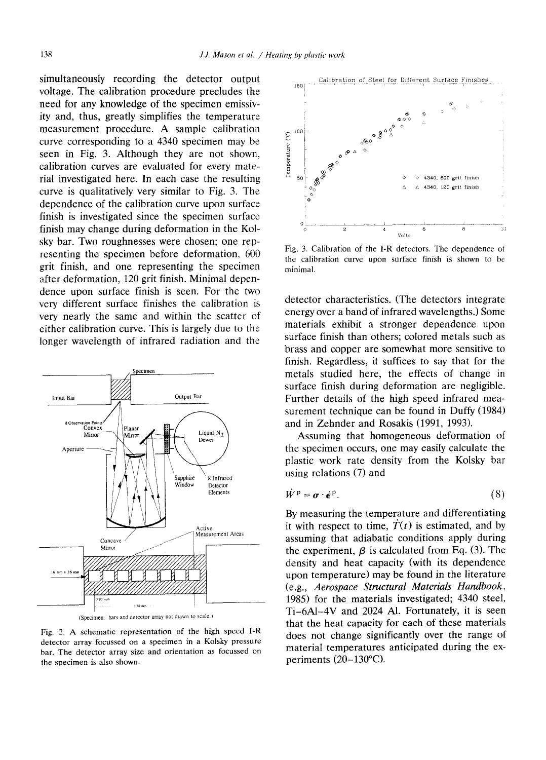simultaneously recording the detector output voltage. The calibration procedure precludes the need for any knowledge of the specimen emissivity and, thus, greatly simplifies the temperature measurement procedure. A sample calibration curve corresponding to a 4340 specimen may be seen in Fig. 3. Although they are not shown, calibration curves are evaluated for every material investigated here. In each case the resulting curve is qualitatively very similar to Fig. 3. The dependence of the calibration curve upon surface finish is investigated since the specimen surface finish may change during deformation in the Kolsky bar. Two roughnesses were chosen; one representing the specimen before deformation, 600 grit finish, and one representing the specimen after deformation, 120 grit finish. Minimal dependence upon surface finish is seen. For the two very different surface finishes the calibration is very nearly the same and within the scatter of either calibration curve. This is largely due to the longer wavelength of infrared radiation and the



Fig. 2. A schematic representation of the high speed I-R detector array focussed on a specimen in a Kolsky pressure bar. The detector array size and orientation as focussed on the specimen is also shown.



Fig. 3. Calibration of the I-R detectors. The dependence ot the calibration curve upon surface finish is shown to be minimal.

detector characteristics. (The detectors integrate energy over a band of infrared wavelengths.) Some materials exhibit a stronger dependence upon surface finish than others; colored metals such as brass and copper are somewhat more sensitive to finish. Regardless, it suffices to say that for the metals studied here, the effects of change in surface finish during deformation are negligible. Further details of the high speed infrared measurement technique can be found in Duffy (1984) and in Zehnder and Rosakis (1991, 1993).

Assuming that homogeneous deformation of the specimen occurs, one may easily calculate the plastic work rate density from the Kolsky bar using relations (7) and

$$
\dot{W}^{\mathbf{p}} = \boldsymbol{\sigma} \cdot \dot{\boldsymbol{\epsilon}}^{\mathbf{p}}.\tag{8}
$$

By measuring the temperature and differentiating it with respect to time,  $\dot{T}(t)$  is estimated, and by assuming that adiabatic conditions apply during the experiment,  $\beta$  is calculated from Eq. (3). The density and heat capacity (with its dependence upon temperature) may be found in the literature (e.g., *Aerospace Structural Materials Handbook,*  1985) for the materials investigated; 4340 steel, Ti-6A1-4V and 2024 A1. Fortunately, it is seen that the heat capacity for each of these materials does not change significantly over the range of material temperatures anticipated during the experiments (20-130°C).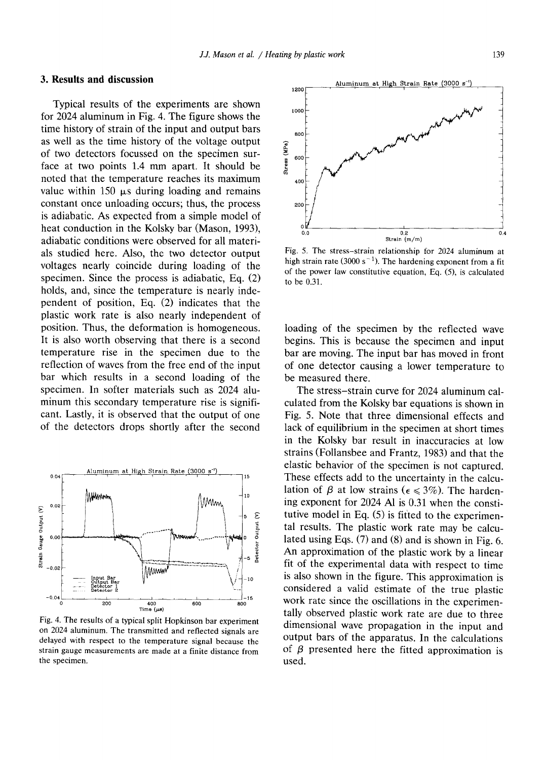# **3. Results and discussion**

Typical results of the experiments are shown for 2024 aluminum in Fig. 4. The figure shows the time history of strain of the input and output bars as well as the time history of the voltage output of two detectors focussed on the specimen surface at two points 1.4 mm apart. It should be noted that the temperature reaches its maximum value within 150  $\mu$ s during loading and remains constant once unloading occurs; thus, the process is adiabatic. As expected from a simple model of heat conduction in the Kolsky bar (Mason, 1993), adiabatic conditions were observed for all materials studied here. Also, the two detector output voltages nearly coincide during loading of the specimen. Since the process is adiabatic, Eq. (2) holds, and, since the temperature is nearly independent of position, Eq. (2) indicates that the plastic work rate is also nearly independent of position. Thus, the deformation is homogeneous. It is also worth observing that there is a second temperature rise in the specimen due to the reflection of waves from the free end of the input bar which results in a second loading of the specimen. In softer materials such as 2024 aluminum this secondary temperature rise is significant. Lastly, it is observed that the output of one of the detectors drops shortly after the second



Fig. 4. The results of a typical split Hopkinson bar experiment on 2024 aluminum. The transmitted and reflected signals are delayed with respect to the temperature signal because the strain gauge measurements are made at a finite distance from the specimen.



Fig. 5. The stress-strain relationship for 2024 aluminum at high strain rate (3000 s<sup>-1</sup>). The hardening exponent from a fit of the power law constitutive equation, Eq. (5), is calculated to be 0.31.

loading of the specimen by the reflected wave begins. This is because the specimen and input bar are moving. The input bar has moved in front of one detector causing a lower temperature to be measured there.

The stress-strain curve for 2024 aluminum calculated from the Kolsky bar equations is shown in Fig. 5. Note that three dimensional effects and lack of equilibrium in the specimen at short times in the Kolsky bar result in inaccuracies at low strains (Follansbee and Frantz, 1983) and that the elastic behavior of the specimen is not captured. These effects add to the uncertainty in the calculation of  $\beta$  at low strains ( $\epsilon \leq 3\%$ ). The hardening exponent for 2024 Al is 0.31 when the constitutive model in Eq.  $(5)$  is fitted to the experimental results. The plastic work rate may be calculated using Eqs. (7) and (8) and is shown in Fig. 6. An approximation of the plastic work by a linear fit of the experimental data with respect to time is also shown in the figure. This approximation is considered a valid estimate of the true plastic work rate since the oscillations in the experimentally observed plastic work rate are due to three dimensional wave propagation in the input and output bars of the apparatus. In the calculations of  $\beta$  presented here the fitted approximation is used.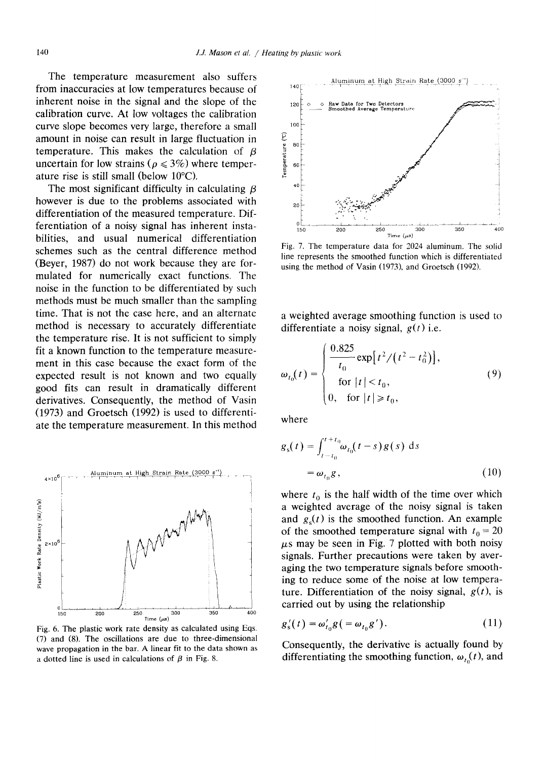The temperature measurement also suffers from inaccuracies at low temperatures because of inherent noise in the signal and the slope of the calibration curve. At low voltages the calibration curve slope becomes very large, therefore a small amount in noise can result in large fluctuation in temperature. This makes the calculation of  $\beta$ uncertain for low strains ( $\rho \leq 3\%$ ) where temperature rise is still small (below 10°C).

The most significant difficulty in calculating  $\beta$ however is due to the problems associated with differentiation of the measured temperature. Differentiation of a noisy signal has inherent instabilities, and usual numerical differentiation schemes such as the central difference method (Beyer, 1987) do not work because they are formulated for numerically exact functions. The noise in the function to be differentiated by such methods must be much smaller than the sampling time. That is not the case here, and an alternate method is necessary to accurately differentiate the temperature rise. It is not sufficient to simply fit a known function to the temperature measurement in this case because the exact form of the expected result is not known and two equally good fits can result in dramatically different derivatives. Consequently, the method of Vasin (1973) and Groetsch (1992) is used to differentiate the temperature measurement. In this method



Fig, 6. The plastic work rate density as calculated using Eqs. (7) and (8), The oscillations are due to three-dimensional wave propagation in the bar. A linear fit to the data shown as a dotted line is used in calculations of  $\beta$  in Fig. 8.



Fig. 7. The temperature data for 2024 aluminum. The solid line represents the smoothed function which is differentiated using the method of Vasin (1973), and Groetsch (1992).

a weighted average smoothing function is used to differentiate a noisy signal, *g(t)* **i.e.** 

$$
\omega_{t_0}(t) = \begin{cases}\n\frac{0.825}{t_0} \exp[t^2/(t^2 - t_0^2)],\\
\text{for } |t| < t_0,\\
0, \text{ for } |t| \ge t_0,\n\end{cases}
$$
\n(9)

where

$$
g_s(t) = \int_{t-t_0}^{t+t_0} \omega_{t_0}(t-s) g(s) ds
$$
  
=  $\omega_{t_0} g,$  (10)

where  $t_0$  is the half width of the time over which a weighted average of the noisy signal is taken and  $g<sub>s</sub>(t)$  is the smoothed function. An example of the smoothed temperature signal with  $t_0 = 20$  $\mu$ s may be seen in Fig. 7 plotted with both noisy signals. Further precautions were taken by averaging the two temperature signals before smoothing to reduce some of the noise at low temperature. Differentiation of the noisy signal,  $g(t)$ , is carried out by using the relationship

$$
g'_{s}(t) = \omega'_{t_0} g\left(= \omega_{t_0} g'\right). \tag{11}
$$

Consequently, the derivative is actually found by differentiating the smoothing function,  $\omega_{t_0}(t)$ , and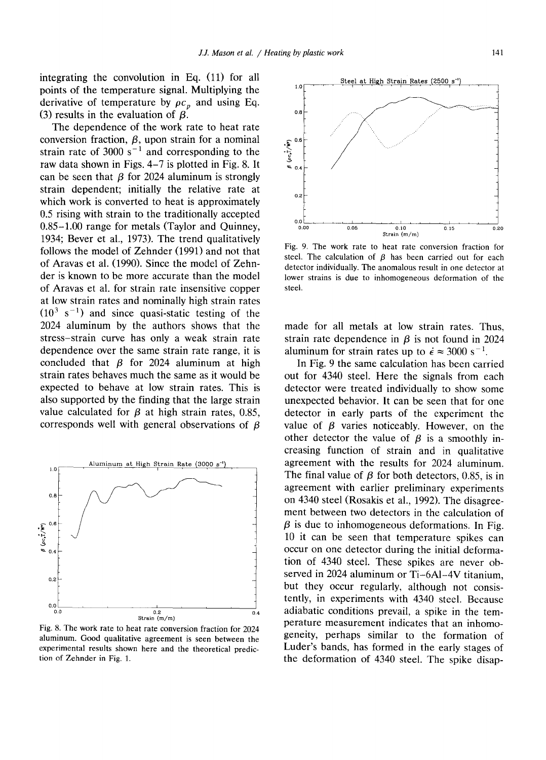integrating the convolution in Eq. (11) for all points of the temperature signal. Multiplying the derivative of temperature by  $\rho c_p$  and using Eq. (3) results in the evaluation of  $\beta$ .

The dependence of the work rate to heat rate conversion fraction,  $\beta$ , upon strain for a nominal strain rate of 3000 s<sup>-1</sup> and corresponding to the raw data shown in Figs. 4-7 is plotted in Fig. 8. It can be seen that  $\beta$  for 2024 aluminum is strongly strain dependent; initially the relative rate at which work is converted to heat is approximately 0.5 rising with strain to the traditionally accepted 0.85-1.00 range for metals (Taylor and Quinney, 1934; Bever et al., 1973). The trend qualitatively follows the model of Zehnder (1991) and not that of Aravas et al. (1990). Since the model of Zehnder is known to be more accurate than the model of Aravas et al. for strain rate insensitive copper at low strain rates and nominally high strain rates  $(10^3 \text{ s}^{-1})$  and since quasi-static testing of the 2024 aluminum by the authors shows that the stress-strain curve has only a weak strain rate dependence over the same strain rate range, it is concluded that  $\beta$  for 2024 aluminum at high strain rates behaves much the same as it would be expected to behave at low strain rates. This is also supported by the finding that the large strain value calculated for  $\beta$  at high strain rates, 0.85, corresponds well with general observations of  $\beta$ 



Fig. 8. The work rate to heat rate conversion fraction for 2024 aluminum. Good qualitative agreement is seen between the experimental results shown here and the theoretical prediction of Zehnder in Fig. 1.

Steel at High Strain Rates (2500 s<sup>-1</sup>  $1.0$ O.S .  $\sim$  0.6 °~  $0.4$ 0.2 0.0 , , , , ~ .... I .... I .... 0.00 0.05 0.10 0 15 0.20 Strain (m/m)

Fig. 9. The work rate to heat rate conversion fraction for steel. The calculation of  $\beta$  has been carried out for each detector individually. The anomalous result in one detector at lower strains is due to inhomogeneous deformation of the steel.

made for all metals at low strain rates. Thus, strain rate dependence in  $\beta$  is not found in 2024 aluminum for strain rates up to  $\dot{\epsilon} \approx 3000 \text{ s}^{-1}$ .

In Fig. 9 the same calculation has been carried out for 4340 steel. Here the signals from each detector were treated individually to show some unexpected behavior. It can be seen that for one detector in early parts of the experiment the value of  $\beta$  varies noticeably. However, on the other detector the value of  $\beta$  is a smoothly increasing function of strain and in qualitative agreement with the results for 2024 aluminum. The final value of  $\beta$  for both detectors, 0.85, is in agreement with earlier preliminary experiments on 4340 steel (Rosakis et al., 1992). The disagreement between two detectors in the calculation of  $\beta$  is due to inhomogeneous deformations. In Fig. 10 it can be seen that temperature spikes can occur on one detector during the initial deformation of 4340 steel. These spikes are never observed in 2024 aluminum or Ti-6AI-4V titanium, but they occur regularly, although not consistently, in experiments with 4340 steel. Because adiabatic conditions prevail, a spike in the temperature measurement indicates that an inhomogeneity, perhaps similar to the formation of Luder's bands, has formed in the early stages of the deformation of 4340 steel. The spike disap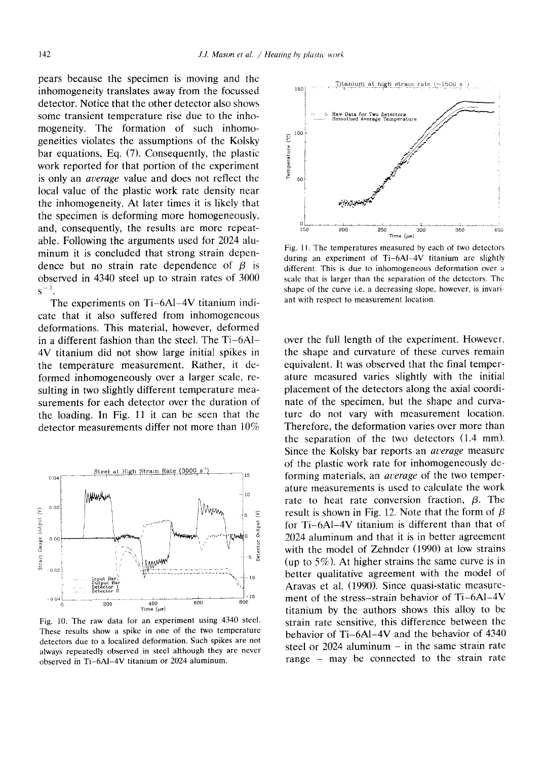pears because the specimen is moving and the inhomogeneity translates away from the focussed detector. Notice that the other detector also shows some transient temperature rise due to the inhomogeneity. The formation of such inhomogeneities violates the assumptions of the Kolsky bar equations, Eq. (7). Consequently, the plastic work reported for that portion of the experiment is only an *auerage* value and does not reflect the local value of the plastic work rate density near the inhomogeneity. At later times it is likely that the specimen is deforming more homogeneously, and, consequently, the results are more repeatable. Following the arguments used for 2024 aluminum it is concluded that strong strain dependence but no strain rate dependence of  $\beta$  is observed in 4340 steel up to strain rates of 3000  $s^{-1}$ .

The experiments on Ti-6AI-4V titanium indicate that it also suffered from inhomogeneous deformations. This material, however, deformed in a different fashion than the steel. The Ti-6AI-4V titanium did not show large initial spikes in the temperature measurement. Rather, it deformed inhomogeneously over a larger scale, resulting in two slightly different temperature measurements for each detector over the duration of the loading. In Fig. 11 it can be seen that the detector measurements differ not more than  $10\%$ 



Fig. 10. The raw data for an experiment using 4340 steel. These results show a spike in one of the two temperature detectors due to a localized deformation. Such spikes are not always repeatedly observed in steel although they are never observed in Ti-6AI-4V titanium or 2024 aluminum.



Fig. 11. The temperatures measured by each of two detectors during an experiment of Ti-6AI-4V titanium are slightly different. This is due to inhomogeneous deformation over a scale that is larger than the separation of the detectors. The shape of the curve i.e. a decreasing slope, however, is invariant with respect to measurement location.

over the full length of the experiment. However. the shape and curvature of these curves remain equivalent. It was observed that the final temperature measured varies slightly with the initial placement of the detectors along the axial coordinate of the specimen, but the shape and curvature do not vary with measurement location. Therefore, the deformation varies over more than the separation of the two detectors (1.4 mm). Since the Kolsky bar reports an *acerage* measure of the plastic work rate for inhomogeneously deforming materials, an *average* of the two temperature measurements is used to calculate the work rate to heat rate conversion fraction,  $\beta$ . The result is shown in Fig. 12. Note that the form of  $\beta$ for Ti-6A1-4V titanium is different than that of 2024 aluminum and that it is in better agreement with the model of Zehnder (1990) at low strains (up to  $5\%$ ). At higher strains the same curve is in better qualitative agreement with the model of Aravas et al. (1990). Since quasi-static measurement of the stress-strain behavior of Ti-6AI-4V titanium by the authors shows this alloy to be strain rate sensitive, this difference between the behavior of Ti-6A1-4V and the behavior of 4340 steel or  $2024$  aluminum  $-$  in the same strain rate range - may be connected to the strain rate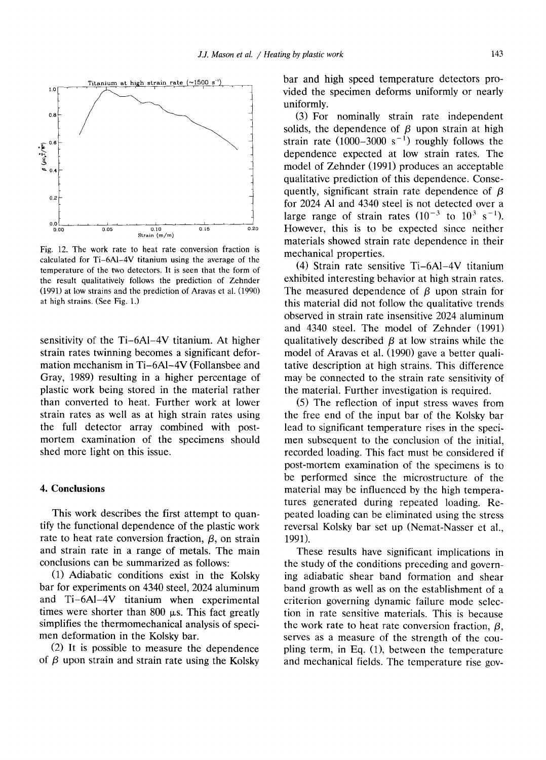

Fig. 12. The work rate to heat rate conversion fraction is calculated for Ti-6AI-4V titanium using the average of **the**  temperature of the two detectors. It is seen that the form of the result qualitatively follows the prediction of Zehnder (1991) at low strains and the prediction of Aravas et al. (1990) at high strains. (See Fig. 1.)

sensitivity of the Ti-6A1-4V titanium. At higher strain rates twinning becomes a significant deformation mechanism in Ti-6A1-4V (Follansbee and Gray, 1989) resulting in a higher percentage of plastic work being stored in the material rather than converted to heat. Further work at lower strain rates as well as at high strain rates using the full detector array combined with postmortem examination of the specimens should shed more light on this issue.

## **4. Conclusions**

This work describes the first attempt to quantify the functional dependence of the plastic work rate to heat rate conversion fraction,  $\beta$ , on strain and strain rate in a range of metals. The main conclusions can be summarized as follows:

(1) Adiabatic conditions exist in the Kolsky bar for experiments on 4340 steel, 2024 aluminum and Ti-6AI-4V titanium when experimental times were shorter than  $800 \mu s$ . This fact greatly simplifies the thermomechanical analysis of specimen deformation in the Kolsky bar.

(2) It is possible to measure the dependence of  $\beta$  upon strain and strain rate using the Kolsky

bar and high speed temperature detectors provided the specimen deforms uniformly or nearly uniformly.

(3) For nominally strain rate independent solids, the dependence of  $\beta$  upon strain at high strain rate  $(1000-3000 \text{ s}^{-1})$  roughly follows the dependence expected at low strain rates. The model of Zehnder (1991) produces an acceptable qualitative prediction of this dependence. Consequently, significant strain rate dependence of  $\beta$ for 2024 A1 and 4340 steel is not detected over a large range of strain rates  $(10^{-3}$  to  $10^3$  s<sup>-1</sup>). However, this is to be expected since neither materials showed strain rate dependence in their mechanical properties.

(4) Strain rate sensitive Ti-6A1-4V titanium exhibited interesting behavior at high strain rates. The measured dependence of  $\beta$  upon strain for this material did not follow the qualitative trends observed in strain rate insensitive 2024 aluminum and 4340 steel. The model of Zehnder (1991) qualitatively described  $\beta$  at low strains while the model of Aravas et al. (1990) gave a better qualitative description at high strains. This difference may be connected to the strain rate sensitivity of the material. Further investigation is required.

(5) The reflection of input stress waves from the free end of the input bar of the Kolsky bar lead to significant temperature rises in the specimen subsequent to the conclusion of the initial, recorded loading. This fact must be considered if post-mortem examination of the specimens is to be performed since the microstructure of the material may be influenced by the high temperatures generated during repeated loading. Repeated loading can be eliminated using the stress reversal Kolsky bar set up (Nemat-Nasser et al., 1991).

These results have significant implications in the study of the conditions preceding and governing adiabatic shear band formation and shear band growth as well as on the establishment of a criterion governing dynamic failure mode selection in rate sensitive materials. This is because the work rate to heat rate conversion fraction,  $\beta$ , serves as a measure of the strength of the coupling term, in Eq. (1), between the temperature and mechanical fields. The temperature rise gov-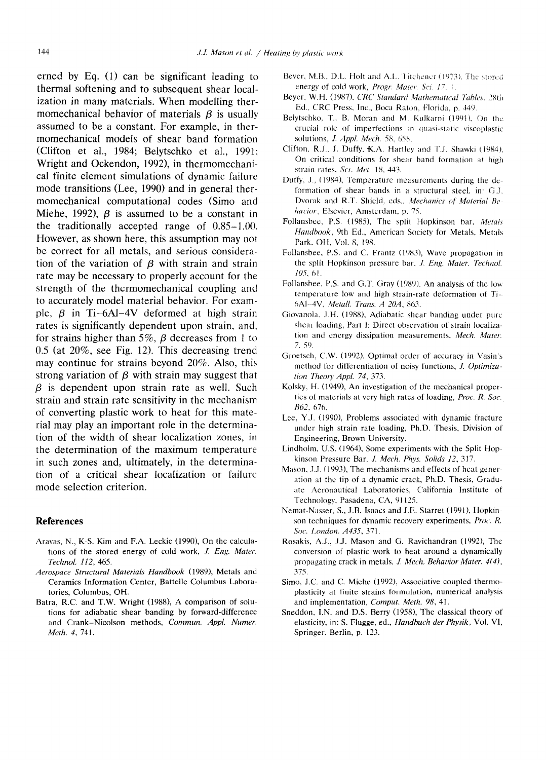**erned by Eq. (1) can be significant leading to thermal softening and to subsequent shear localization in many materials. When modelling ther**momechanical behavior of materials  $\beta$  is usually assumed to be a constant. For example, in ther**momechanical models of shear band formation**  (Clifton et al., 1984; Belytschko et al., 1991; **Wright and Ockendon, 1992), in thermomechanical finite element simulations of dynamic failure mode transitions (Lee, 1990) and in general thermomechanical computational codes (Simo and**  Miehe, 1992),  $\beta$  is assumed to be a constant in **the traditionally accepted range of 0.85-1.00. However, as shown here, this assumption may not be correct for all metals, and serious considera**tion of the variation of  $\beta$  with strain and strain **rate may be necessary to properly account for the strength of the thermomechanical coupling and to accurately model material behavior. For exam**ple,  $\beta$  in Ti-6Al-4V deformed at high strain **rates is significantly dependent upon strain, and,**  for strains higher than  $5\%$ ,  $\beta$  decreases from 1 to **0.5 (at 20%, see Fig. 12). This decreasing trend may continue for strains beyond 20%. Also, this**  strong variation of  $\beta$  with strain may suggest that **/3 is dependent upon strain rate as well. Such strain and strain rate sensitivity in the mechanism of converting plastic work to heat for this material may play an important role in the determination of the width of shear localization zones, in the determination of the maximum temperature in such zones and, ultimately, in the determination of a critical shear localization or failure mode selection criterion.** 

# **References**

- Aravas, N., K-S. Kim and F.A. Leckie (1990), On the calculations of the stored energy of cold work, *J. Eng. Mater. Technol, 112,* 465.
- *Aerospace Structural Materials Handbook* (1989), Metals and Ceramics Information Center, Battelle Columbus Laboratories, Columbus, OH.
- Batra, R.C. and T.W. Wright (1988), A comparison of solutions for adiabatic shear banding by forward-difference and Crank-Nicolson methods, *Commun. Appl. Numer. Meth. 4~* 741.
- Bever. M.B., D.L. Holt and A.L. Titchener (1973). The stored energy of cold work, *Progr. Mater. Sci.* 17, 1.
- Beyer, W.tf. (1987), *CRC Standard Mathematical Tables,* 28th Ed., CRC Press, Inc., Boca Raton, Florida, p. 449
- Belytschko, T.. B. Moran and M. Kulkarni (1991), On the crucial role of imperfections in quasi-static viscoplastic solutions, *J. Appl. Mech.* 58, 658.
- Clifton, R.J., J. Duffy, K.A. Hartley and T.J. Shawki (1984), On critical conditions for shear band formation at high strata rates, *Scr. Met.* 18, 443.
- Duffy, J., (1984), Temperature measurements during the deformation of shear bands in a structural steel, in: G.J. Dvorak and R.T. Shield, eds.. *Mechanics of Material Be havior*. Elsevier, Amsterdam, p. 75.
- Follansbee, P.S. (1985), The split Hopkinson bar, *Metals Handbook.* 9th Ed., American Society for Metals. Metals Park, OH, Vol. 8, 198.
- Follansbee, P.S. and C. Frantz (1983), Wave propagation in the split Hopkinson pressure bar, *J. Eng. Mater. Technol. 105,* 61.
- Follansbee, P.S. and G.T. Gray (1989), An analysis of the low temperature low and high strain-rate deformation of Ti-6AI-4V, *Metall. Trans. A 20A,* 863.
- Giovanola, J.tt. (1988), Adiabatic shear banding under pure shear loading, Part I: Direct observation of strain Iocaliza- tion and energy dissipation measurements, *Mech. Mater,*  7. 59.
- Groetsch, C.W. (1992), Optimal order of accuracy in Vasin's method for differentiation of noisy functions, *J. Optimization Theoo' AppL* 74, 373.
- Kolsky, H. (1949), An investigation of the mechanical properties of materials at very high rates of loading, *Proc. R. Soc. B62.* 676.
- Lee, Y.J. (1990), Problems associated with dynamic fracture under high strain rate loading, Ph.D. Thesis, Division of Engineering, Brown University.
- Lindholm, U.S. (1964), Some experiments with the Split Hopkinson Pressure Bar, J. Mech. Phys. Solids 12, 317.
- Mason. J.J. (1993), The mechanisms and effects of heat generation at the tip of a dynamic crack, Ph.D. Thesis, Graduate Aeronautical Laboratories. California Institute of Technology, Pasadena, CA, 91125.
- Nemat-Nasser, S., J.B. Isaacs and J.E. Starret (1991), Hopkmson techniques for dynamic recovery experiments, *Proc. R. Soc. London. A435,* 371.
- Rosakis, A.J., J.J. Mason and G. Ravichandran (1992), The conversion of plastic work to heat around a dynamically propagating crack in metals, *J. Mech, Behavior Mater. 4(4),*  375.
- Simo, J.C. and C. Miehe (1992), Associative coupled thermo- plasticity at finite strains formulation, numerical analysis and implementation, *Comput. Meth. 98,* 41.
- Sncddon, I.N. and D.S. Berry (1958), The classical theory of elasticity, in: S. Flugge, ed., *Handbuch der Physik,* Vol. VI, Springer, Berlin, p. 123.